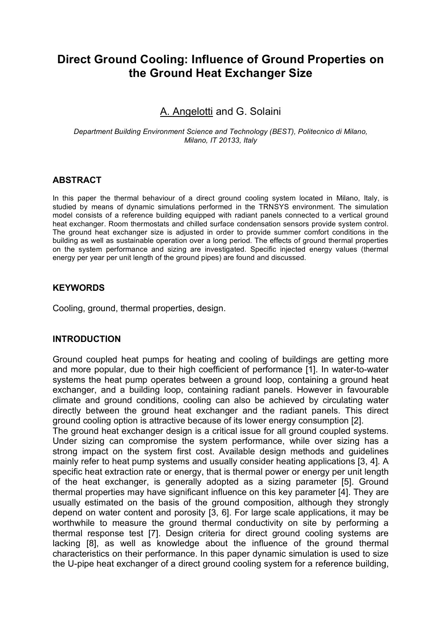# **Direct Ground Cooling: Influence of Ground Properties on the Ground Heat Exchanger Size**

## A. Angelotti and G. Solaini

*Department Building Environment Science and Technology (BEST), Politecnico di Milano, Milano, IT 20133, Italy*

## **ABSTRACT**

In this paper the thermal behaviour of a direct ground cooling system located in Milano, Italy, is studied by means of dynamic simulations performed in the TRNSYS environment. The simulation model consists of a reference building equipped with radiant panels connected to a vertical ground heat exchanger. Room thermostats and chilled surface condensation sensors provide system control. The ground heat exchanger size is adjusted in order to provide summer comfort conditions in the building as well as sustainable operation over a long period. The effects of ground thermal properties on the system performance and sizing are investigated. Specific injected energy values (thermal energy per year per unit length of the ground pipes) are found and discussed.

#### **KEYWORDS**

Cooling, ground, thermal properties, design.

#### **INTRODUCTION**

Ground coupled heat pumps for heating and cooling of buildings are getting more and more popular, due to their high coefficient of performance [1]. In water-to-water systems the heat pump operates between a ground loop, containing a ground heat exchanger, and a building loop, containing radiant panels. However in favourable climate and ground conditions, cooling can also be achieved by circulating water directly between the ground heat exchanger and the radiant panels. This direct ground cooling option is attractive because of its lower energy consumption [2].

The ground heat exchanger design is a critical issue for all ground coupled systems. Under sizing can compromise the system performance, while over sizing has a strong impact on the system first cost. Available design methods and guidelines mainly refer to heat pump systems and usually consider heating applications [3, 4]. A specific heat extraction rate or energy, that is thermal power or energy per unit length of the heat exchanger, is generally adopted as a sizing parameter [5]. Ground thermal properties may have significant influence on this key parameter [4]. They are usually estimated on the basis of the ground composition, although they strongly depend on water content and porosity [3, 6]. For large scale applications, it may be worthwhile to measure the ground thermal conductivity on site by performing a thermal response test [7]. Design criteria for direct ground cooling systems are lacking [8], as well as knowledge about the influence of the ground thermal characteristics on their performance. In this paper dynamic simulation is used to size the U-pipe heat exchanger of a direct ground cooling system for a reference building,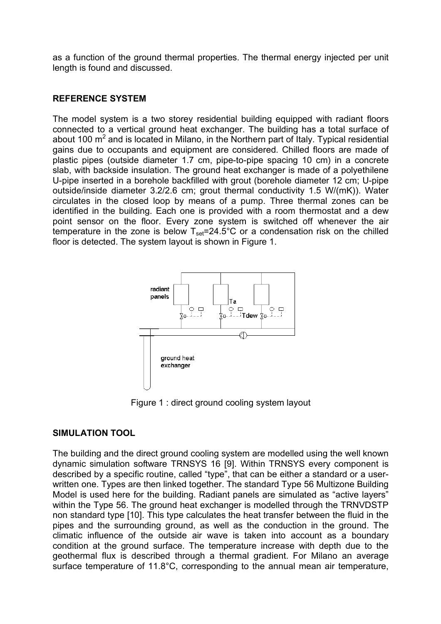as a function of the ground thermal properties. The thermal energy injected per unit length is found and discussed.

## **REFERENCE SYSTEM**

The model system is a two storey residential building equipped with radiant floors connected to a vertical ground heat exchanger. The building has a total surface of about 100  $\mathrm{m}^2$  and is located in Milano, in the Northern part of Italy. Typical residential gains due to occupants and equipment are considered. Chilled floors are made of plastic pipes (outside diameter 1.7 cm, pipe-to-pipe spacing 10 cm) in a concrete slab, with backside insulation. The ground heat exchanger is made of a polyethilene U-pipe inserted in a borehole backfilled with grout (borehole diameter 12 cm; U-pipe outside/inside diameter 3.2/2.6 cm; grout thermal conductivity 1.5 W/(mK)). Water circulates in the closed loop by means of a pump. Three thermal zones can be identified in the building. Each one is provided with a room thermostat and a dew point sensor on the floor. Every zone system is switched off whenever the air temperature in the zone is below  $T_{\text{set}}=24.5^{\circ}\text{C}$  or a condensation risk on the chilled floor is detected. The system layout is shown in Figure 1.



Figure 1 : direct ground cooling system layout

## **SIMULATION TOOL**

The building and the direct ground cooling system are modelled using the well known dynamic simulation software TRNSYS 16 [9]. Within TRNSYS every component is described by a specific routine, called "type", that can be either a standard or a userwritten one. Types are then linked together. The standard Type 56 Multizone Building Model is used here for the building. Radiant panels are simulated as "active layers" within the Type 56. The ground heat exchanger is modelled through the TRNVDSTP non standard type [10]. This type calculates the heat transfer between the fluid in the pipes and the surrounding ground, as well as the conduction in the ground. The climatic influence of the outside air wave is taken into account as a boundary condition at the ground surface. The temperature increase with depth due to the geothermal flux is described through a thermal gradient. For Milano an average surface temperature of 11.8°C, corresponding to the annual mean air temperature,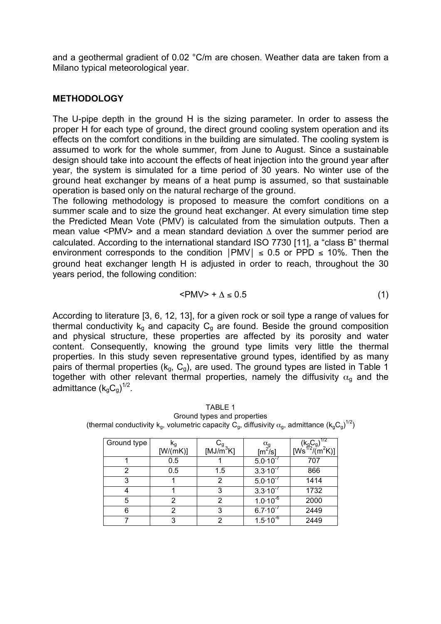and a geothermal gradient of 0.02 °C/m are chosen. Weather data are taken from a Milano typical meteorological year.

## **METHODOLOGY**

The U-pipe depth in the ground H is the sizing parameter. In order to assess the proper H for each type of ground, the direct ground cooling system operation and its effects on the comfort conditions in the building are simulated. The cooling system is assumed to work for the whole summer, from June to August. Since a sustainable design should take into account the effects of heat injection into the ground year after year, the system is simulated for a time period of 30 years. No winter use of the ground heat exchanger by means of a heat pump is assumed, so that sustainable operation is based only on the natural recharge of the ground.

The following methodology is proposed to measure the comfort conditions on a summer scale and to size the ground heat exchanger. At every simulation time step the Predicted Mean Vote (PMV) is calculated from the simulation outputs. Then a mean value <PMV> and a mean standard deviation Δ over the summer period are calculated. According to the international standard ISO 7730 [11], a "class B" thermal environment corresponds to the condition  $|PMV| \le 0.5$  or PPD  $\le 10\%$ . Then the ground heat exchanger length H is adjusted in order to reach, throughout the 30 years period, the following condition:

$$
\langle PMV \rangle + \Delta \leq 0.5 \tag{1}
$$

According to literature [3, 6, 12, 13], for a given rock or soil type a range of values for thermal conductivity  $k_q$  and capacity  $C_q$  are found. Beside the ground composition and physical structure, these properties are affected by its porosity and water content. Consequently, knowing the ground type limits very little the thermal properties. In this study seven representative ground types, identified by as many pairs of thermal properties  $(k<sub>g</sub>, C<sub>g</sub>)$ , are used. The ground types are listed in Table 1 together with other relevant thermal properties, namely the diffusivity  $\alpha_{q}$  and the admittance  $(k_{g}C_{g})^{1/2}$ .

| Ground type | rα       |                                                         | $\alpha_\mathtt{q}$          | 172                                                                  |
|-------------|----------|---------------------------------------------------------|------------------------------|----------------------------------------------------------------------|
|             | [W/(mK)] | $\overset{\mathsf{L}_{\mathsf{g}}}{\mathsf{[MJ/m^3K]}}$ | $[m^2/s]$                    | $(k_{\rm g}C_{\rm g})^{1/2}$ [Ws <sup>1/2</sup> /(m <sup>2</sup> K)] |
|             | 0.5      |                                                         | $5.0 \cdot 10^{-7}$          | 707                                                                  |
| 2           | 0.5      | 1.5                                                     | $3.3 \cdot 10^{-7}$          | 866                                                                  |
| 3           |          | 2                                                       | $5.0 \cdot 10^{-7}$          | 1414                                                                 |
| 4           |          | 3                                                       | $3.3 \cdot 10^{-7}$          | 1732                                                                 |
| 5           | 2        | 2                                                       | $1.0\cdot\overline{10^{-6}}$ | 2000                                                                 |
| 6           | 2        | 3                                                       | $6.7 \cdot 10^{-7}$          | 2449                                                                 |
|             |          | າ                                                       | $1.5 \cdot 10^{-6}$          | 2449                                                                 |

TABLE 1 Ground types and properties (thermal conductivity k<sub>g</sub>, volumetric capacity  $\rm C_g$ , diffusivity  $\rm \alpha_g$ , admittance (k<sub>g</sub>C<sub>g</sub>)<sup>1/2</sup>)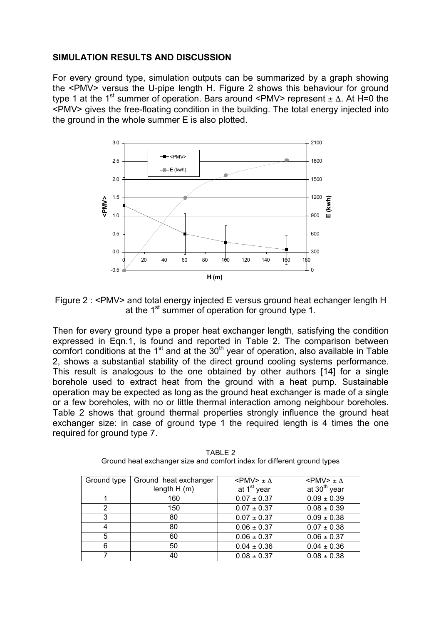## **SIMULATION RESULTS AND DISCUSSION**

For every ground type, simulation outputs can be summarized by a graph showing the <PMV> versus the U-pipe length H. Figure 2 shows this behaviour for ground type 1 at the 1<sup>st</sup> summer of operation. Bars around <PMV> represent  $\pm \Delta$ . At H=0 the <PMV> gives the free-floating condition in the building. The total energy injected into the ground in the whole summer E is also plotted.



Figure 2 : <PMV> and total energy injected E versus ground heat echanger length H at the 1<sup>st</sup> summer of operation for ground type 1.

Then for every ground type a proper heat exchanger length, satisfying the condition expressed in Eqn.1, is found and reported in Table 2. The comparison between comfort conditions at the  $1<sup>st</sup>$  and at the  $30<sup>th</sup>$  year of operation, also available in Table 2, shows a substantial stability of the direct ground cooling systems performance. This result is analogous to the one obtained by other authors [14] for a single borehole used to extract heat from the ground with a heat pump. Sustainable operation may be expected as long as the ground heat exchanger is made of a single or a few boreholes, with no or little thermal interaction among neighbour boreholes. Table 2 shows that ground thermal properties strongly influence the ground heat exchanger size: in case of ground type 1 the required length is 4 times the one required for ground type 7.

| Ground type | Ground heat exchanger | $\langle$ PMV $>$ $\pm \Lambda$ | $<$ PMV $>$ $\pm \Lambda$ |
|-------------|-----------------------|---------------------------------|---------------------------|
|             | length $H(m)$         | at 1 <sup>st</sup> year         | at 30 <sup>th</sup> year  |
|             | 160                   | $0.07 \pm 0.37$                 | $0.09 \pm 0.39$           |
| っ           | 150                   | $0.07 \pm 0.37$                 | $0.08 \pm 0.39$           |
| 3           | 80                    | $0.07 \pm 0.37$                 | $0.09 \pm 0.38$           |
| 4           | 80                    | $0.06 \pm 0.37$                 | $0.07 \pm 0.38$           |
| 5           | 60                    | $0.06 \pm 0.37$                 | $0.06 \pm 0.37$           |
| 6           | 50                    | $0.04 \pm 0.36$                 | $0.04 \pm 0.36$           |
|             | 40                    | $0.08 \pm 0.37$                 | $0.08 \pm 0.38$           |

TABLE 2 Ground heat exchanger size and comfort index for different ground types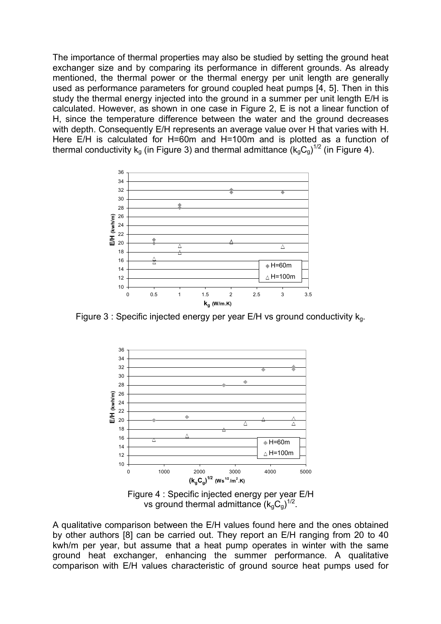The importance of thermal properties may also be studied by setting the ground heat exchanger size and by comparing its performance in different grounds. As already mentioned, the thermal power or the thermal energy per unit length are generally used as performance parameters for ground coupled heat pumps [4, 5]. Then in this study the thermal energy injected into the ground in a summer per unit length E/H is calculated. However, as shown in one case in Figure 2, E is not a linear function of H, since the temperature difference between the water and the ground decreases with depth. Consequently E/H represents an average value over H that varies with H. Here E/H is calculated for H=60m and H=100m and is plotted as a function of thermal conductivity  $k_g$  (in Figure 3) and thermal admittance  $(k_gC_g)^{1/2}$  (in Figure 4).



Figure 3 : Specific injected energy per year E/H vs ground conductivity  $k<sub>q</sub>$ .



Figure 4 : Specific injected energy per year E/H vs ground thermal admittance  $(k_\text{g}C_\text{g})^{1/2}$ .

A qualitative comparison between the E/H values found here and the ones obtained by other authors [8] can be carried out. They report an E/H ranging from 20 to 40 kwh/m per year, but assume that a heat pump operates in winter with the same ground heat exchanger, enhancing the summer performance. A qualitative comparison with E/H values characteristic of ground source heat pumps used for